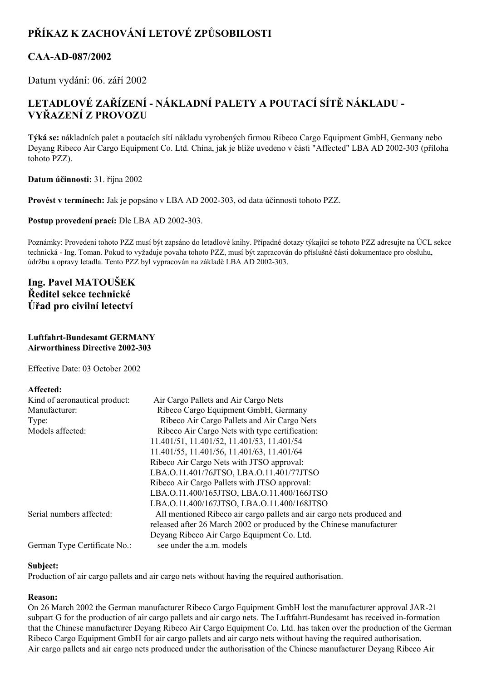# **PŘÍKAZ K ZACHOVÁNÍ LETOVÉ ZPŮSOBILOSTI**

## **CAAAD087/2002**

Datum vydání: 06. září 2002

## **LETADLOVÉ ZAŘÍZENÍ NÁKLADNÍ PALETY A POUTACÍ SÍTĚ NÁKLADU VYŘAZENÍ Z PROVOZU**

**Týká se:** nákladních palet a poutacích sítí nákladu vyrobených firmou Ribeco Cargo Equipment GmbH, Germany nebo Deyang Ribeco Air Cargo Equipment Co. Ltd. China, jak je blíže uvedeno v části "Affected" LBA AD 2002-303 (příloha tohoto PZZ).

**Datum účinnosti:** 31. října 2002

**Provést v termínech:** Jak je popsáno v LBA AD 2002303, od data účinnosti tohoto PZZ.

Postup provedení prací: Dle LBA AD 2002-303.

Poznámky: Provedení tohoto PZZ musí být zapsáno do letadlové knihy. Případné dotazy týkající se tohoto PZZ adresujte na ÚCL sekce technická Ing. Toman. Pokud to vyžaduje povaha tohoto PZZ, musí být zapracován do příslušné části dokumentace pro obsluhu, údržbu a opravy letadla. Tento PZZ byl vypracován na základě LBA AD 2002-303.

## **Ing. Pavel MATOUŠEK Ředitel sekce technické Úřad pro civilní letectví**

#### **Luftfahrt-Bundesamt GERMANY Airworthiness Directive 2002303**

Effective Date: 03 October 2002

#### **Affected:**

| Kind of aeronautical product: | Air Cargo Pallets and Air Cargo Nets                                   |
|-------------------------------|------------------------------------------------------------------------|
| Manufacturer:                 | Ribeco Cargo Equipment GmbH, Germany                                   |
| Type:                         | Ribeco Air Cargo Pallets and Air Cargo Nets                            |
| Models affected:              | Ribeco Air Cargo Nets with type certification:                         |
|                               | 11.401/51, 11.401/52, 11.401/53, 11.401/54                             |
|                               | 11.401/55, 11.401/56, 11.401/63, 11.401/64                             |
|                               | Ribeco Air Cargo Nets with JTSO approval:                              |
|                               | LBA.O.11.401/76JTSO, LBA.O.11.401/77JTSO                               |
|                               | Ribeco Air Cargo Pallets with JTSO approval:                           |
|                               | LBA.O.11.400/165JTSO, LBA.O.11.400/166JTSO                             |
|                               | LBA.O.11.400/167JTSO, LBA.O.11.400/168JTSO                             |
| Serial numbers affected:      | All mentioned Ribeco air cargo pallets and air cargo nets produced and |
|                               | released after 26 March 2002 or produced by the Chinese manufacturer   |
|                               | Deyang Ribeco Air Cargo Equipment Co. Ltd.                             |
| German Type Certificate No.:  | see under the a.m. models                                              |

#### **Subject:**

Production of air cargo pallets and air cargo nets without having the required authorisation.

### **Reason:**

On 26 March 2002 the German manufacturer Ribeco Cargo Equipment GmbH lost the manufacturer approval JAR21 subpart G for the production of air cargo pallets and air cargo nets. The Luftfahrt-Bundesamt has received in-formation that the Chinese manufacturer Deyang Ribeco Air Cargo Equipment Co. Ltd. has taken over the production of the German Ribeco Cargo Equipment GmbH for air cargo pallets and air cargo nets without having the required authorisation. Air cargo pallets and air cargo nets produced under the authorisation of the Chinese manufacturer Deyang Ribeco Air